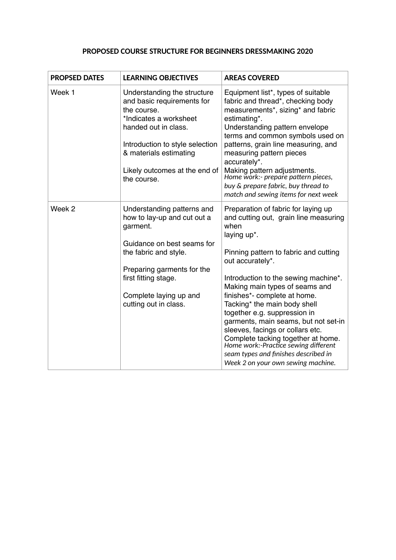## **PROPOSED COURSE STRUCTURE FOR BEGINNERS DRESSMAKING 2020**

| <b>PROPSED DATES</b> | <b>LEARNING OBJECTIVES</b>                                                                                                                                                                                                              | <b>AREAS COVERED</b>                                                                                                                                                                                                                                                                                                                                                                                                                                                                                                                                                               |
|----------------------|-----------------------------------------------------------------------------------------------------------------------------------------------------------------------------------------------------------------------------------------|------------------------------------------------------------------------------------------------------------------------------------------------------------------------------------------------------------------------------------------------------------------------------------------------------------------------------------------------------------------------------------------------------------------------------------------------------------------------------------------------------------------------------------------------------------------------------------|
| Week 1               | Understanding the structure<br>and basic requirements for<br>the course.<br>*Indicates a worksheet<br>handed out in class.<br>Introduction to style selection<br>& materials estimating<br>Likely outcomes at the end of<br>the course. | Equipment list*, types of suitable<br>fabric and thread*, checking body<br>measurements*, sizing* and fabric<br>estimating*.<br>Understanding pattern envelope<br>terms and common symbols used on<br>patterns, grain line measuring, and<br>measuring pattern pieces<br>accurately*.<br>Making pattern adjustments.<br>Home work:- prepare pattern pieces,<br>buy & prepare fabric, buy thread to<br>match and sewing items for next week                                                                                                                                         |
| Week 2               | Understanding patterns and<br>how to lay-up and cut out a<br>garment.<br>Guidance on best seams for<br>the fabric and style.<br>Preparing garments for the<br>first fitting stage.<br>Complete laying up and<br>cutting out in class.   | Preparation of fabric for laying up<br>and cutting out, grain line measuring<br>when<br>laying up*.<br>Pinning pattern to fabric and cutting<br>out accurately*.<br>Introduction to the sewing machine*.<br>Making main types of seams and<br>finishes*- complete at home.<br>Tacking* the main body shell<br>together e.g. suppression in<br>garments, main seams, but not set-in<br>sleeves, facings or collars etc.<br>Complete tacking together at home.<br>Home work:-Practice sewing different<br>seam types and finishes described in<br>Week 2 on your own sewing machine. |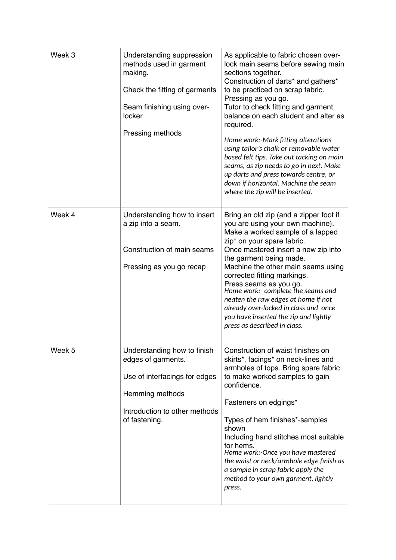| Week 3            | Understanding suppression<br>methods used in garment<br>making.<br>Check the fitting of garments<br>Seam finishing using over-<br>locker<br>Pressing methods | As applicable to fabric chosen over-<br>lock main seams before sewing main<br>sections together.<br>Construction of darts* and gathers*<br>to be practiced on scrap fabric.<br>Pressing as you go.<br>Tutor to check fitting and garment<br>balance on each student and alter as<br>required.<br>Home work:-Mark fitting alterations<br>using tailor's chalk or removable water<br>based felt tips. Take out tacking on main<br>seams, as zip needs to go in next. Make<br>up darts and press towards centre, or<br>down if horizontal. Machine the seam<br>where the zip will be inserted. |
|-------------------|--------------------------------------------------------------------------------------------------------------------------------------------------------------|---------------------------------------------------------------------------------------------------------------------------------------------------------------------------------------------------------------------------------------------------------------------------------------------------------------------------------------------------------------------------------------------------------------------------------------------------------------------------------------------------------------------------------------------------------------------------------------------|
| Week 4            | Understanding how to insert<br>a zip into a seam.<br>Construction of main seams<br>Pressing as you go recap                                                  | Bring an old zip (and a zipper foot if<br>you are using your own machine).<br>Make a worked sample of a lapped<br>zip <sup>*</sup> on your spare fabric.<br>Once mastered insert a new zip into<br>the garment being made.<br>Machine the other main seams using<br>corrected fitting markings.<br>Press seams as you go.<br>Home work:- complete the seams and<br>neaten the raw edges at home if not<br>already over-locked in class and once<br>you have inserted the zip and lightly<br>press as described in class.                                                                    |
| Week <sub>5</sub> | Understanding how to finish<br>edges of garments.<br>Use of interfacings for edges<br>Hemming methods<br>Introduction to other methods<br>of fastening.      | Construction of waist finishes on<br>skirts*, facings* on neck-lines and<br>armholes of tops. Bring spare fabric<br>to make worked samples to gain<br>confidence.<br>Fasteners on edgings*<br>Types of hem finishes*-samples<br>shown<br>Including hand stitches most suitable<br>for hems.<br>Home work:-Once you have mastered<br>the waist or neck/armhole edge finish as<br>a sample in scrap fabric apply the<br>method to your own garment, lightly<br>press.                                                                                                                         |